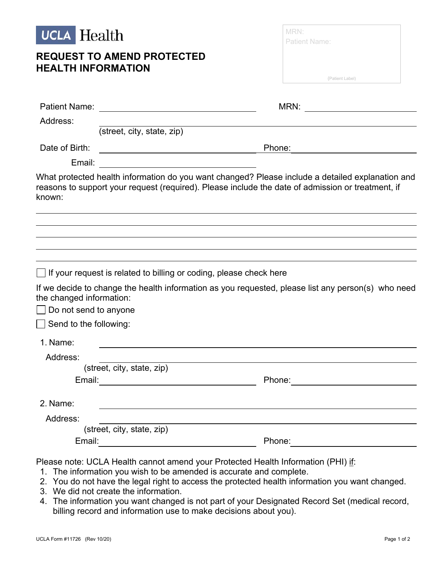

## **REQUEST TO AMEND PROTECTED HEALTH INFORMATION**

| MRN:                 |                 |
|----------------------|-----------------|
| <b>Patient Name:</b> |                 |
|                      |                 |
|                      |                 |
|                      | (Patient Label) |

|                               |                                                                                                                      | MRN:<br><u> 1980 - Andrea Station Books, amerikansk politik (</u>                                                                                                                                     |
|-------------------------------|----------------------------------------------------------------------------------------------------------------------|-------------------------------------------------------------------------------------------------------------------------------------------------------------------------------------------------------|
| Address:                      |                                                                                                                      |                                                                                                                                                                                                       |
|                               | (street, city, state, zip)                                                                                           |                                                                                                                                                                                                       |
| Date of Birth:                |                                                                                                                      | Phone:                                                                                                                                                                                                |
| Email:                        | <u> 1990 - Johann Barbara, martin amerikan ba</u>                                                                    |                                                                                                                                                                                                       |
| known:                        |                                                                                                                      | What protected health information do you want changed? Please include a detailed explanation and<br>reasons to support your request (required). Please include the date of admission or treatment, if |
|                               |                                                                                                                      |                                                                                                                                                                                                       |
|                               | □ If your request is related to billing or coding, please check here                                                 |                                                                                                                                                                                                       |
| the changed information:      |                                                                                                                      | If we decide to change the health information as you requested, please list any person(s) who need                                                                                                    |
| $\Box$ Do not send to anyone  |                                                                                                                      |                                                                                                                                                                                                       |
| $\Box$ Send to the following: |                                                                                                                      |                                                                                                                                                                                                       |
| 1. Name:                      |                                                                                                                      |                                                                                                                                                                                                       |
| Address:                      |                                                                                                                      |                                                                                                                                                                                                       |
|                               | (street, city, state, zip)                                                                                           |                                                                                                                                                                                                       |
|                               |                                                                                                                      | Phone: <u>_________________</u>                                                                                                                                                                       |
| 2. Name:                      |                                                                                                                      |                                                                                                                                                                                                       |
| Address:                      |                                                                                                                      |                                                                                                                                                                                                       |
|                               | (street, city, state, zip)                                                                                           |                                                                                                                                                                                                       |
| Email:                        | <u> 1980 - Jan Barbara Barat, prima a popular popular popular popular popular popular popular popular popular po</u> | Phone:                                                                                                                                                                                                |
|                               |                                                                                                                      |                                                                                                                                                                                                       |

Please note: UCLA Health cannot amend your Protected Health Information (PHI) if:

- 1. The information you wish to be amended is accurate and complete.
- 2. You do not have the legal right to access the protected health information you want changed.
- 3. We did not create the information.
- 4. The information you want changed is not part of your Designated Record Set (medical record, billing record and information use to make decisions about you).